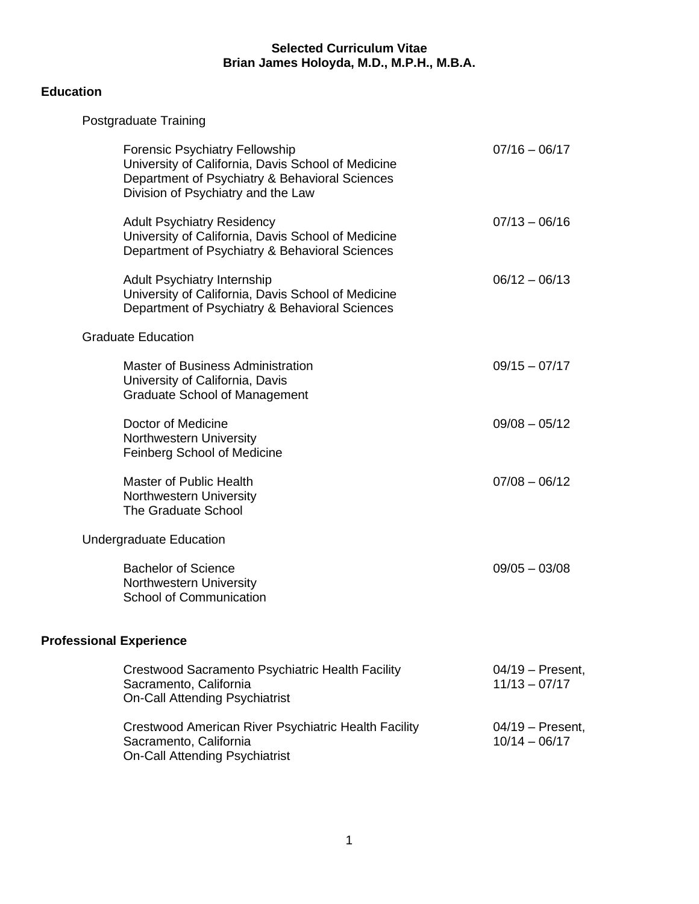## **Education**

| Postgraduate Training |
|-----------------------|
|-----------------------|

| <b>Forensic Psychiatry Fellowship</b><br>University of California, Davis School of Medicine<br>Department of Psychiatry & Behavioral Sciences<br>Division of Psychiatry and the Law | $07/16 - 06/17$                       |
|-------------------------------------------------------------------------------------------------------------------------------------------------------------------------------------|---------------------------------------|
| <b>Adult Psychiatry Residency</b><br>University of California, Davis School of Medicine<br>Department of Psychiatry & Behavioral Sciences                                           | $07/13 - 06/16$                       |
| <b>Adult Psychiatry Internship</b><br>University of California, Davis School of Medicine<br>Department of Psychiatry & Behavioral Sciences                                          | $06/12 - 06/13$                       |
| <b>Graduate Education</b>                                                                                                                                                           |                                       |
| <b>Master of Business Administration</b><br>University of California, Davis<br><b>Graduate School of Management</b>                                                                 | $09/15 - 07/17$                       |
| Doctor of Medicine<br>Northwestern University<br>Feinberg School of Medicine                                                                                                        | $09/08 - 05/12$                       |
| Master of Public Health<br>Northwestern University<br>The Graduate School                                                                                                           | $07/08 - 06/12$                       |
| <b>Undergraduate Education</b>                                                                                                                                                      |                                       |
| <b>Bachelor of Science</b><br>Northwestern University<br>School of Communication                                                                                                    | $09/05 - 03/08$                       |
| <b>Professional Experience</b>                                                                                                                                                      |                                       |
| Crestwood Sacramento Psychiatric Health Facility<br>Sacramento, California<br><b>On-Call Attending Psychiatrist</b>                                                                 | $04/19$ – Present,<br>$11/13 - 07/17$ |
| <b>Crestwood American River Psychiatric Health Facility</b><br>Sacramento, California                                                                                               | $04/19$ – Present,<br>$10/14 - 06/17$ |

On-Call Attending Psychiatrist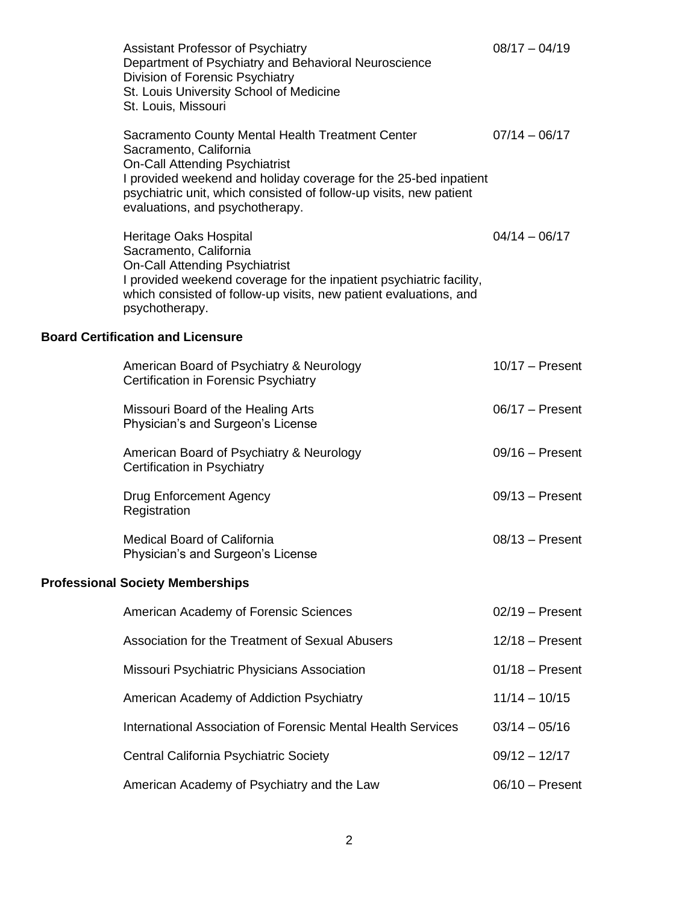| <b>Assistant Professor of Psychiatry</b><br>Department of Psychiatry and Behavioral Neuroscience<br>Division of Forensic Psychiatry<br>St. Louis University School of Medicine<br>St. Louis, Missouri                                                                                            | $08/17 - 04/19$   |
|--------------------------------------------------------------------------------------------------------------------------------------------------------------------------------------------------------------------------------------------------------------------------------------------------|-------------------|
| Sacramento County Mental Health Treatment Center<br>Sacramento, California<br><b>On-Call Attending Psychiatrist</b><br>I provided weekend and holiday coverage for the 25-bed inpatient<br>psychiatric unit, which consisted of follow-up visits, new patient<br>evaluations, and psychotherapy. | $07/14 - 06/17$   |
| Heritage Oaks Hospital<br>Sacramento, California<br><b>On-Call Attending Psychiatrist</b><br>I provided weekend coverage for the inpatient psychiatric facility,<br>which consisted of follow-up visits, new patient evaluations, and<br>psychotherapy.                                          | $04/14 - 06/17$   |
| <b>Board Certification and Licensure</b>                                                                                                                                                                                                                                                         |                   |
| American Board of Psychiatry & Neurology<br>Certification in Forensic Psychiatry                                                                                                                                                                                                                 | $10/17 -$ Present |
| Missouri Board of the Healing Arts<br>Physician's and Surgeon's License                                                                                                                                                                                                                          | $06/17 -$ Present |
| American Board of Psychiatry & Neurology<br>Certification in Psychiatry                                                                                                                                                                                                                          | $09/16$ - Present |
| <b>Drug Enforcement Agency</b><br>Registration                                                                                                                                                                                                                                                   | $09/13$ - Present |
| <b>Medical Board of California</b><br>Physician's and Surgeon's License                                                                                                                                                                                                                          | $08/13$ - Present |
| <b>Professional Society Memberships</b>                                                                                                                                                                                                                                                          |                   |
| American Academy of Forensic Sciences                                                                                                                                                                                                                                                            | $02/19$ - Present |
| Association for the Treatment of Sexual Abusers                                                                                                                                                                                                                                                  | $12/18 -$ Present |
| Missouri Psychiatric Physicians Association                                                                                                                                                                                                                                                      | $01/18 -$ Present |
| American Academy of Addiction Psychiatry                                                                                                                                                                                                                                                         | $11/14 - 10/15$   |
| <b>International Association of Forensic Mental Health Services</b>                                                                                                                                                                                                                              | $03/14 - 05/16$   |
| Central California Psychiatric Society                                                                                                                                                                                                                                                           | $09/12 - 12/17$   |
| American Academy of Psychiatry and the Law                                                                                                                                                                                                                                                       | $06/10$ - Present |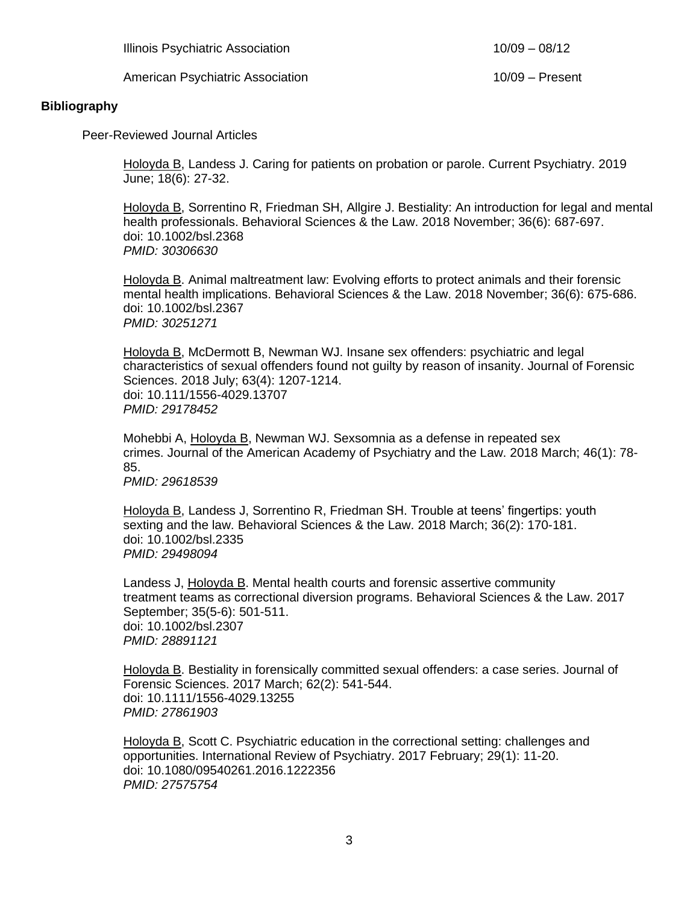Illinois Psychiatric Association 10/09 – 08/12

American Psychiatric Association 10/09 – Present

## **Bibliography**

Peer-Reviewed Journal Articles

Holoyda B, Landess J. Caring for patients on probation or parole. Current Psychiatry. 2019 June; 18(6): 27-32.

Holoyda B, Sorrentino R, Friedman SH, Allgire J. Bestiality: An introduction for legal and mental health professionals. Behavioral Sciences & the Law. 2018 November; 36(6): 687-697. doi: 10.1002/bsl.2368 *PMID: 30306630*

Holoyda B. Animal maltreatment law: Evolving efforts to protect animals and their forensic mental health implications. Behavioral Sciences & the Law. 2018 November; 36(6): 675-686. doi: 10.1002/bsl.2367 *PMID: 30251271*

Holoyda B, McDermott B, Newman WJ. Insane sex offenders: psychiatric and legal characteristics of sexual offenders found not guilty by reason of insanity. Journal of Forensic Sciences. 2018 July; 63(4): 1207-1214. doi: 10.111/1556-4029.13707 *PMID: 29178452*

Mohebbi A, Holoyda B, Newman WJ. Sexsomnia as a defense in repeated sex crimes. Journal of the American Academy of Psychiatry and the Law. 2018 March; 46(1): 78- 85.

*PMID: 29618539*

Holoyda B, Landess J, Sorrentino R, Friedman SH. Trouble at teens' fingertips: youth sexting and the law. Behavioral Sciences & the Law. 2018 March; 36(2): 170-181. doi: 10.1002/bsl.2335 *PMID: 29498094*

Landess J, Holoyda B. Mental health courts and forensic assertive community treatment teams as correctional diversion programs. Behavioral Sciences & the Law. 2017 September; 35(5-6): 501-511. doi: 10.1002/bsl.2307 *PMID: 28891121*

Holoyda B. Bestiality in forensically committed sexual offenders: a case series. Journal of Forensic Sciences. 2017 March; 62(2): 541-544. doi: 10.1111/1556-4029.13255 *PMID: 27861903*

Holoyda B, Scott C. Psychiatric education in the correctional setting: challenges and opportunities. International Review of Psychiatry. 2017 February; 29(1): 11-20. doi: 10.1080/09540261.2016.1222356 *PMID: 27575754*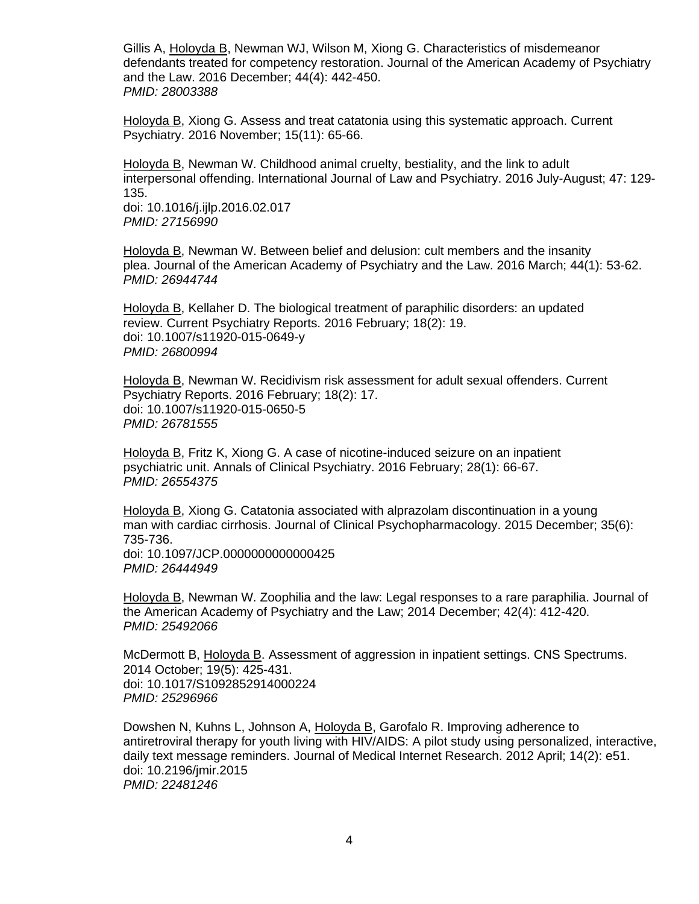Gillis A, Holoyda B, Newman WJ, Wilson M, Xiong G. Characteristics of misdemeanor defendants treated for competency restoration. Journal of the American Academy of Psychiatry and the Law. 2016 December; 44(4): 442-450. *PMID: 28003388*

Holoyda B, Xiong G. Assess and treat catatonia using this systematic approach. Current Psychiatry. 2016 November; 15(11): 65-66.

Holoyda B, Newman W. Childhood animal cruelty, bestiality, and the link to adult interpersonal offending. International Journal of Law and Psychiatry. 2016 July-August; 47: 129- 135.

doi: 10.1016/j.ijlp.2016.02.017 *PMID: 27156990*

Holoyda B, Newman W. Between belief and delusion: cult members and the insanity plea. Journal of the American Academy of Psychiatry and the Law. 2016 March; 44(1): 53-62. *PMID: 26944744*

Holoyda B, Kellaher D. The biological treatment of paraphilic disorders: an updated review. Current Psychiatry Reports. 2016 February; 18(2): 19. doi: 10.1007/s11920-015-0649-y *PMID: 26800994*

Holoyda B, Newman W. Recidivism risk assessment for adult sexual offenders. Current Psychiatry Reports. 2016 February; 18(2): 17. doi: 10.1007/s11920-015-0650-5 *PMID: 26781555*

Holoyda B, Fritz K, Xiong G. A case of nicotine-induced seizure on an inpatient psychiatric unit. Annals of Clinical Psychiatry. 2016 February; 28(1): 66-67. *PMID: 26554375*

Holoyda B, Xiong G. Catatonia associated with alprazolam discontinuation in a young man with cardiac cirrhosis. Journal of Clinical Psychopharmacology. 2015 December; 35(6): 735-736. doi: 10.1097/JCP.0000000000000425

*PMID: 26444949*

Holoyda B, Newman W. Zoophilia and the law: Legal responses to a rare paraphilia. Journal of the American Academy of Psychiatry and the Law; 2014 December; 42(4): 412-420. *PMID: 25492066*

McDermott B, Holoyda B. Assessment of aggression in inpatient settings. CNS Spectrums. 2014 October; 19(5): 425-431. doi: 10.1017/S1092852914000224 *PMID: 25296966*

Dowshen N, Kuhns L, Johnson A, Holoyda B, Garofalo R. Improving adherence to antiretroviral therapy for youth living with HIV/AIDS: A pilot study using personalized, interactive, daily text message reminders. Journal of Medical Internet Research. 2012 April; 14(2): e51. doi: 10.2196/jmir.2015 *PMID: 22481246*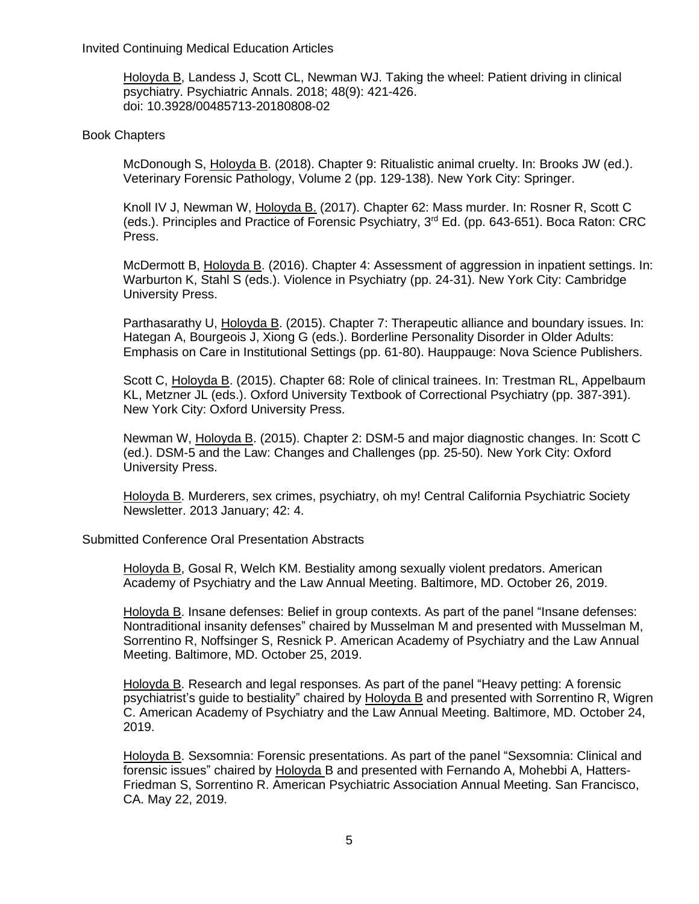Invited Continuing Medical Education Articles

Holoyda B, Landess J, Scott CL, Newman WJ. Taking the wheel: Patient driving in clinical psychiatry. Psychiatric Annals. 2018; 48(9): 421-426. doi: 10.3928/00485713-20180808-02

## Book Chapters

McDonough S, Holoyda B. (2018). Chapter 9: Ritualistic animal cruelty. In: Brooks JW (ed.). Veterinary Forensic Pathology, Volume 2 (pp. 129-138). New York City: Springer.

Knoll IV J, Newman W, Holoyda B. (2017). Chapter 62: Mass murder. In: Rosner R, Scott C (eds.). Principles and Practice of Forensic Psychiatry, 3rd Ed. (pp. 643-651). Boca Raton: CRC Press.

McDermott B, Holoyda B. (2016). Chapter 4: Assessment of aggression in inpatient settings. In: Warburton K, Stahl S (eds.). Violence in Psychiatry (pp. 24-31). New York City: Cambridge University Press.

Parthasarathy U, Holoyda B. (2015). Chapter 7: Therapeutic alliance and boundary issues. In: Hategan A, Bourgeois J, Xiong G (eds.). Borderline Personality Disorder in Older Adults: Emphasis on Care in Institutional Settings (pp. 61-80). Hauppauge: Nova Science Publishers.

Scott C, Holoyda B. (2015). Chapter 68: Role of clinical trainees. In: Trestman RL, Appelbaum KL, Metzner JL (eds.). Oxford University Textbook of Correctional Psychiatry (pp. 387-391). New York City: Oxford University Press.

Newman W, Holoyda B. (2015). Chapter 2: DSM-5 and major diagnostic changes. In: Scott C (ed.). DSM-5 and the Law: Changes and Challenges (pp. 25-50). New York City: Oxford University Press.

Holoyda B. Murderers, sex crimes, psychiatry, oh my! Central California Psychiatric Society Newsletter. 2013 January; 42: 4.

Submitted Conference Oral Presentation Abstracts

Holoyda B, Gosal R, Welch KM. Bestiality among sexually violent predators. American Academy of Psychiatry and the Law Annual Meeting. Baltimore, MD. October 26, 2019.

Holoyda B. Insane defenses: Belief in group contexts. As part of the panel "Insane defenses: Nontraditional insanity defenses" chaired by Musselman M and presented with Musselman M, Sorrentino R, Noffsinger S, Resnick P. American Academy of Psychiatry and the Law Annual Meeting. Baltimore, MD. October 25, 2019.

Holoyda B. Research and legal responses. As part of the panel "Heavy petting: A forensic psychiatrist's guide to bestiality" chaired by Holoyda B and presented with Sorrentino R, Wigren C. American Academy of Psychiatry and the Law Annual Meeting. Baltimore, MD. October 24, 2019.

Holoyda B. Sexsomnia: Forensic presentations. As part of the panel "Sexsomnia: Clinical and forensic issues" chaired by Holoyda B and presented with Fernando A, Mohebbi A, Hatters-Friedman S, Sorrentino R. American Psychiatric Association Annual Meeting. San Francisco, CA. May 22, 2019.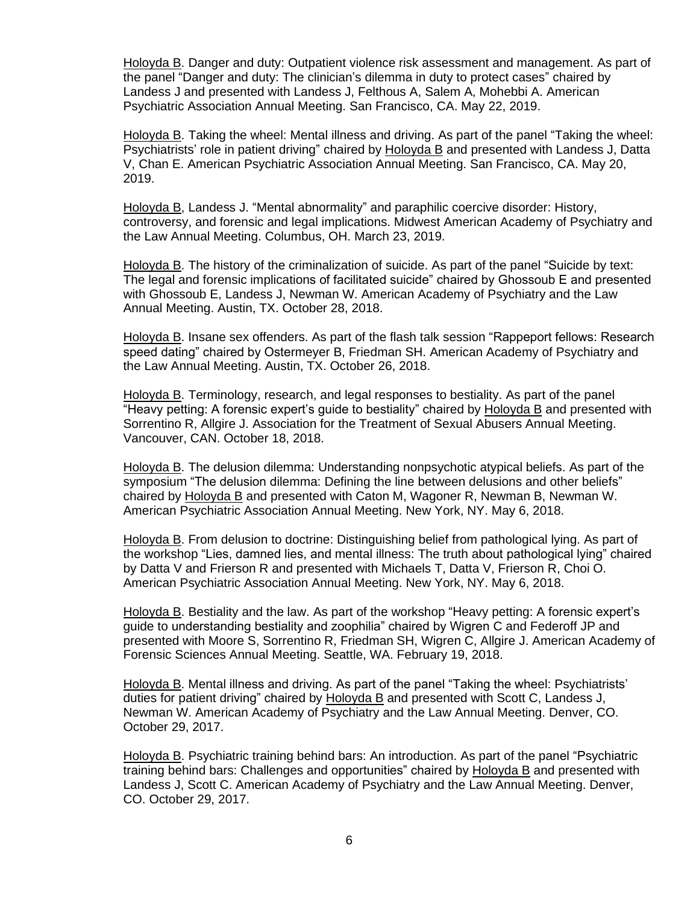Holoyda B. Danger and duty: Outpatient violence risk assessment and management. As part of the panel "Danger and duty: The clinician's dilemma in duty to protect cases" chaired by Landess J and presented with Landess J, Felthous A, Salem A, Mohebbi A. American Psychiatric Association Annual Meeting. San Francisco, CA. May 22, 2019.

Holoyda B. Taking the wheel: Mental illness and driving. As part of the panel "Taking the wheel: Psychiatrists' role in patient driving" chaired by Holoyda B and presented with Landess J, Datta V, Chan E. American Psychiatric Association Annual Meeting. San Francisco, CA. May 20, 2019.

Holoyda B, Landess J. "Mental abnormality" and paraphilic coercive disorder: History, controversy, and forensic and legal implications. Midwest American Academy of Psychiatry and the Law Annual Meeting. Columbus, OH. March 23, 2019.

Holoyda B. The history of the criminalization of suicide. As part of the panel "Suicide by text: The legal and forensic implications of facilitated suicide" chaired by Ghossoub E and presented with Ghossoub E, Landess J, Newman W. American Academy of Psychiatry and the Law Annual Meeting. Austin, TX. October 28, 2018.

Holoyda B. Insane sex offenders. As part of the flash talk session "Rappeport fellows: Research speed dating" chaired by Ostermeyer B, Friedman SH. American Academy of Psychiatry and the Law Annual Meeting. Austin, TX. October 26, 2018.

Holoyda B. Terminology, research, and legal responses to bestiality. As part of the panel "Heavy petting: A forensic expert's guide to bestiality" chaired by Holoyda B and presented with Sorrentino R, Allgire J. Association for the Treatment of Sexual Abusers Annual Meeting. Vancouver, CAN. October 18, 2018.

Holoyda B. The delusion dilemma: Understanding nonpsychotic atypical beliefs. As part of the symposium "The delusion dilemma: Defining the line between delusions and other beliefs" chaired by Holoyda B and presented with Caton M, Wagoner R, Newman B, Newman W. American Psychiatric Association Annual Meeting. New York, NY. May 6, 2018.

Holoyda B. From delusion to doctrine: Distinguishing belief from pathological lying. As part of the workshop "Lies, damned lies, and mental illness: The truth about pathological lying" chaired by Datta V and Frierson R and presented with Michaels T, Datta V, Frierson R, Choi O. American Psychiatric Association Annual Meeting. New York, NY. May 6, 2018.

Holoyda B. Bestiality and the law. As part of the workshop "Heavy petting: A forensic expert's guide to understanding bestiality and zoophilia" chaired by Wigren C and Federoff JP and presented with Moore S, Sorrentino R, Friedman SH, Wigren C, Allgire J. American Academy of Forensic Sciences Annual Meeting. Seattle, WA. February 19, 2018.

Holoyda B. Mental illness and driving. As part of the panel "Taking the wheel: Psychiatrists' duties for patient driving" chaired by Holoyda B and presented with Scott C, Landess J, Newman W. American Academy of Psychiatry and the Law Annual Meeting. Denver, CO. October 29, 2017.

Holoyda B. Psychiatric training behind bars: An introduction. As part of the panel "Psychiatric training behind bars: Challenges and opportunities" chaired by Holoyda B and presented with Landess J, Scott C. American Academy of Psychiatry and the Law Annual Meeting. Denver, CO. October 29, 2017.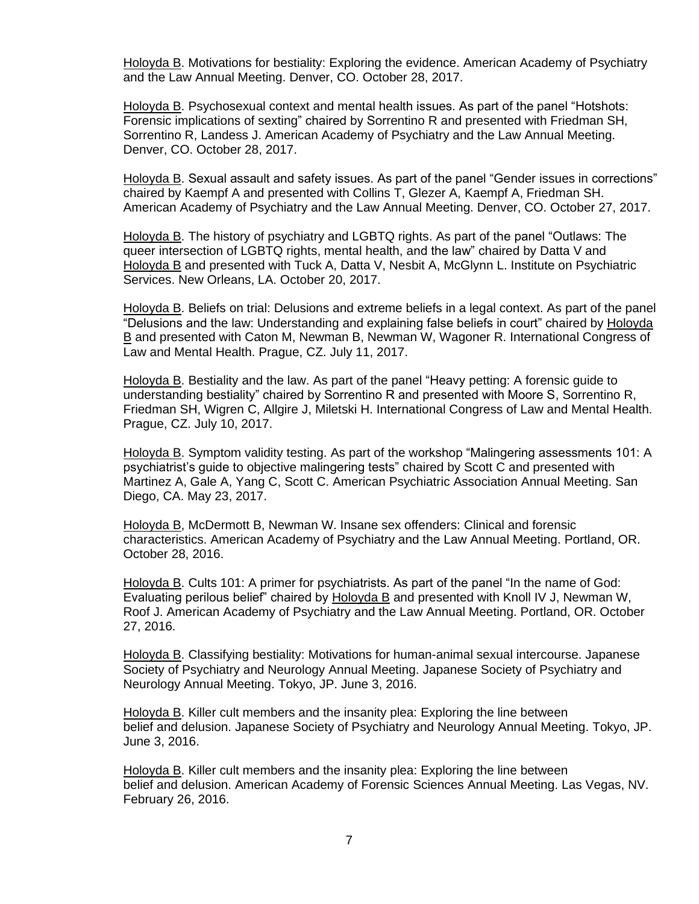Holoyda B. Motivations for bestiality: Exploring the evidence. American Academy of Psychiatry and the Law Annual Meeting. Denver, CO. October 28, 2017.

Holoyda B. Psychosexual context and mental health issues. As part of the panel "Hotshots: Forensic implications of sexting" chaired by Sorrentino R and presented with Friedman SH, Sorrentino R, Landess J. American Academy of Psychiatry and the Law Annual Meeting. Denver, CO. October 28, 2017.

Holoyda B. Sexual assault and safety issues. As part of the panel "Gender issues in corrections" chaired by Kaempf A and presented with Collins T, Glezer A, Kaempf A, Friedman SH. American Academy of Psychiatry and the Law Annual Meeting. Denver, CO. October 27, 2017.

Holoyda B. The history of psychiatry and LGBTQ rights. As part of the panel "Outlaws: The queer intersection of LGBTQ rights, mental health, and the law" chaired by Datta V and Holoyda B and presented with Tuck A, Datta V, Nesbit A, McGlynn L. Institute on Psychiatric Services. New Orleans, LA. October 20, 2017.

Holoyda B. Beliefs on trial: Delusions and extreme beliefs in a legal context. As part of the panel "Delusions and the law: Understanding and explaining false beliefs in court" chaired by Holoyda B and presented with Caton M, Newman B, Newman W, Wagoner R. International Congress of Law and Mental Health. Prague, CZ. July 11, 2017.

Holoyda B. Bestiality and the law. As part of the panel "Heavy petting: A forensic guide to understanding bestiality" chaired by Sorrentino R and presented with Moore S, Sorrentino R, Friedman SH, Wigren C, Allgire J, Miletski H. International Congress of Law and Mental Health. Prague, CZ. July 10, 2017.

Holoyda B. Symptom validity testing. As part of the workshop "Malingering assessments 101: A psychiatrist's guide to objective malingering tests" chaired by Scott C and presented with Martinez A, Gale A, Yang C, Scott C. American Psychiatric Association Annual Meeting. San Diego, CA. May 23, 2017.

Holoyda B, McDermott B, Newman W. Insane sex offenders: Clinical and forensic characteristics. American Academy of Psychiatry and the Law Annual Meeting. Portland, OR. October 28, 2016.

Holoyda B. Cults 101: A primer for psychiatrists. As part of the panel "In the name of God: Evaluating perilous belief" chaired by Holoyda B and presented with Knoll IV J, Newman W, Roof J. American Academy of Psychiatry and the Law Annual Meeting. Portland, OR. October 27, 2016.

Holoyda B. Classifying bestiality: Motivations for human-animal sexual intercourse. Japanese Society of Psychiatry and Neurology Annual Meeting. Japanese Society of Psychiatry and Neurology Annual Meeting. Tokyo, JP. June 3, 2016.

Holoyda B. Killer cult members and the insanity plea: Exploring the line between belief and delusion. Japanese Society of Psychiatry and Neurology Annual Meeting. Tokyo, JP. June 3, 2016.

Holoyda B. Killer cult members and the insanity plea: Exploring the line between belief and delusion. American Academy of Forensic Sciences Annual Meeting. Las Vegas, NV. February 26, 2016.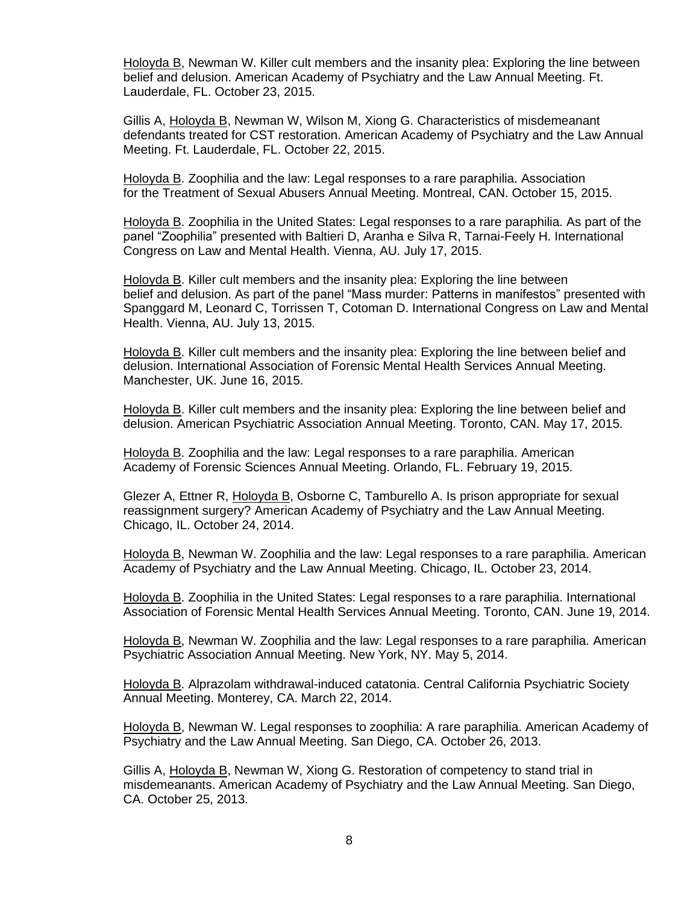Holoyda B, Newman W. Killer cult members and the insanity plea: Exploring the line between belief and delusion. American Academy of Psychiatry and the Law Annual Meeting. Ft. Lauderdale, FL. October 23, 2015.

Gillis A, Holoyda B, Newman W, Wilson M, Xiong G. Characteristics of misdemeanant defendants treated for CST restoration. American Academy of Psychiatry and the Law Annual Meeting. Ft. Lauderdale, FL. October 22, 2015.

Holoyda B. Zoophilia and the law: Legal responses to a rare paraphilia. Association for the Treatment of Sexual Abusers Annual Meeting. Montreal, CAN. October 15, 2015.

Holoyda B. Zoophilia in the United States: Legal responses to a rare paraphilia. As part of the panel "Zoophilia" presented with Baltieri D, Aranha e Silva R, Tarnai-Feely H. International Congress on Law and Mental Health. Vienna, AU. July 17, 2015.

Holoyda B. Killer cult members and the insanity plea: Exploring the line between belief and delusion. As part of the panel "Mass murder: Patterns in manifestos" presented with Spanggard M, Leonard C, Torrissen T, Cotoman D. International Congress on Law and Mental Health. Vienna, AU. July 13, 2015.

Holoyda B. Killer cult members and the insanity plea: Exploring the line between belief and delusion. International Association of Forensic Mental Health Services Annual Meeting. Manchester, UK. June 16, 2015.

Holoyda B. Killer cult members and the insanity plea: Exploring the line between belief and delusion. American Psychiatric Association Annual Meeting. Toronto, CAN. May 17, 2015.

Holoyda B. Zoophilia and the law: Legal responses to a rare paraphilia. American Academy of Forensic Sciences Annual Meeting. Orlando, FL. February 19, 2015.

Glezer A, Ettner R, Holoyda B, Osborne C, Tamburello A. Is prison appropriate for sexual reassignment surgery? American Academy of Psychiatry and the Law Annual Meeting. Chicago, IL. October 24, 2014.

Holoyda B, Newman W. Zoophilia and the law: Legal responses to a rare paraphilia. American Academy of Psychiatry and the Law Annual Meeting. Chicago, IL. October 23, 2014.

Holoyda B. Zoophilia in the United States: Legal responses to a rare paraphilia. International Association of Forensic Mental Health Services Annual Meeting. Toronto, CAN. June 19, 2014.

Holoyda B, Newman W. Zoophilia and the law: Legal responses to a rare paraphilia. American Psychiatric Association Annual Meeting. New York, NY. May 5, 2014.

Holoyda B. Alprazolam withdrawal-induced catatonia. Central California Psychiatric Society Annual Meeting. Monterey, CA. March 22, 2014.

Holoyda B, Newman W. Legal responses to zoophilia: A rare paraphilia. American Academy of Psychiatry and the Law Annual Meeting. San Diego, CA. October 26, 2013.

Gillis A, Holoyda B, Newman W, Xiong G. Restoration of competency to stand trial in misdemeanants. American Academy of Psychiatry and the Law Annual Meeting. San Diego, CA. October 25, 2013.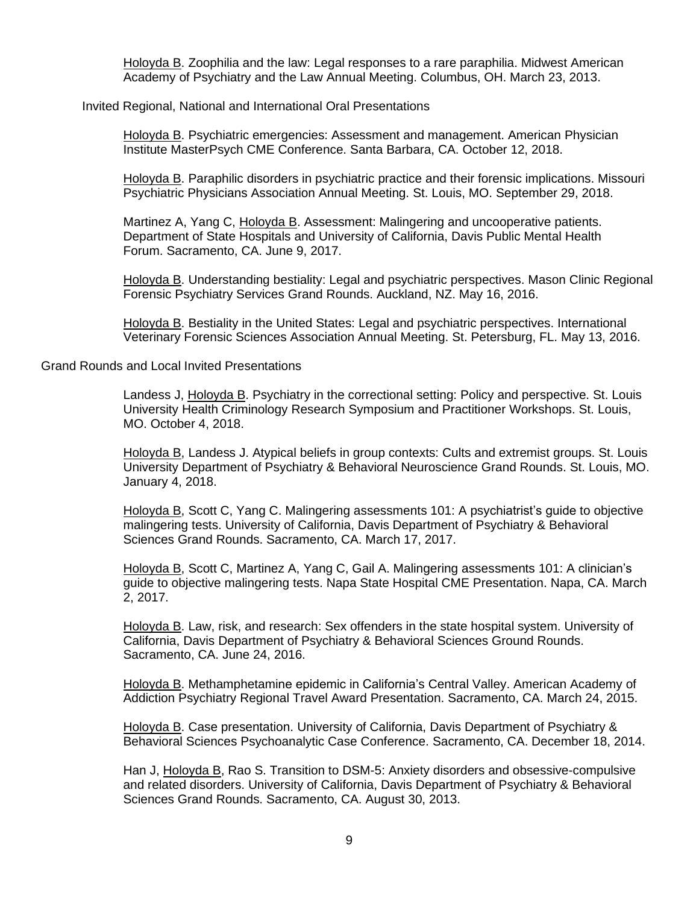Holoyda B. Zoophilia and the law: Legal responses to a rare paraphilia. Midwest American Academy of Psychiatry and the Law Annual Meeting. Columbus, OH. March 23, 2013.

Invited Regional, National and International Oral Presentations

Holoyda B. Psychiatric emergencies: Assessment and management. American Physician Institute MasterPsych CME Conference. Santa Barbara, CA. October 12, 2018.

Holoyda B. Paraphilic disorders in psychiatric practice and their forensic implications. Missouri Psychiatric Physicians Association Annual Meeting. St. Louis, MO. September 29, 2018.

Martinez A, Yang C, Holoyda B. Assessment: Malingering and uncooperative patients. Department of State Hospitals and University of California, Davis Public Mental Health Forum. Sacramento, CA. June 9, 2017.

Holoyda B. Understanding bestiality: Legal and psychiatric perspectives. Mason Clinic Regional Forensic Psychiatry Services Grand Rounds. Auckland, NZ. May 16, 2016.

Holoyda B. Bestiality in the United States: Legal and psychiatric perspectives. International Veterinary Forensic Sciences Association Annual Meeting. St. Petersburg, FL. May 13, 2016.

Grand Rounds and Local Invited Presentations

Landess J, Holoyda B. Psychiatry in the correctional setting: Policy and perspective. St. Louis University Health Criminology Research Symposium and Practitioner Workshops. St. Louis, MO. October 4, 2018.

Holoyda B, Landess J. Atypical beliefs in group contexts: Cults and extremist groups. St. Louis University Department of Psychiatry & Behavioral Neuroscience Grand Rounds. St. Louis, MO. January 4, 2018.

Holoyda B, Scott C, Yang C. Malingering assessments 101: A psychiatrist's guide to objective malingering tests. University of California, Davis Department of Psychiatry & Behavioral Sciences Grand Rounds. Sacramento, CA. March 17, 2017.

Holoyda B, Scott C, Martinez A, Yang C, Gail A. Malingering assessments 101: A clinician's guide to objective malingering tests. Napa State Hospital CME Presentation. Napa, CA. March 2, 2017.

Holoyda B. Law, risk, and research: Sex offenders in the state hospital system. University of California, Davis Department of Psychiatry & Behavioral Sciences Ground Rounds. Sacramento, CA. June 24, 2016.

Holoyda B. Methamphetamine epidemic in California's Central Valley. American Academy of Addiction Psychiatry Regional Travel Award Presentation. Sacramento, CA. March 24, 2015.

Holoyda B. Case presentation. University of California, Davis Department of Psychiatry & Behavioral Sciences Psychoanalytic Case Conference. Sacramento, CA. December 18, 2014.

Han J, Holoyda B, Rao S. Transition to DSM-5: Anxiety disorders and obsessive-compulsive and related disorders. University of California, Davis Department of Psychiatry & Behavioral Sciences Grand Rounds. Sacramento, CA. August 30, 2013.